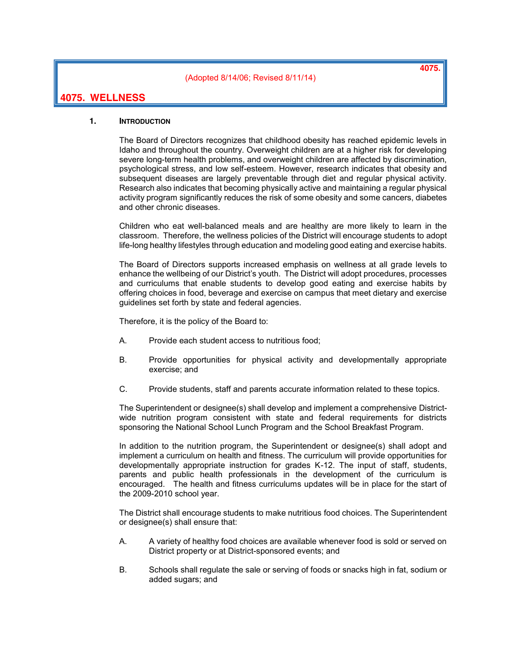(Adopted 8/14/06; Revised 8/11/14)

**4075.**

# **4075. WELLNESS**

### **1. INTRODUCTION**

The Board of Directors recognizes that childhood obesity has reached epidemic levels in Idaho and throughout the country. Overweight children are at a higher risk for developing severe long-term health problems, and overweight children are affected by discrimination, psychological stress, and low self-esteem. However, research indicates that obesity and subsequent diseases are largely preventable through diet and regular physical activity. Research also indicates that becoming physically active and maintaining a regular physical activity program significantly reduces the risk of some obesity and some cancers, diabetes and other chronic diseases.

Children who eat well-balanced meals and are healthy are more likely to learn in the classroom. Therefore, the wellness policies of the District will encourage students to adopt life-long healthy lifestyles through education and modeling good eating and exercise habits.

The Board of Directors supports increased emphasis on wellness at all grade levels to enhance the wellbeing of our District's youth. The District will adopt procedures, processes and curriculums that enable students to develop good eating and exercise habits by offering choices in food, beverage and exercise on campus that meet dietary and exercise guidelines set forth by state and federal agencies.

Therefore, it is the policy of the Board to:

- A. Provide each student access to nutritious food;
- B. Provide opportunities for physical activity and developmentally appropriate exercise; and
- C. Provide students, staff and parents accurate information related to these topics.

The Superintendent or designee(s) shall develop and implement a comprehensive Districtwide nutrition program consistent with state and federal requirements for districts sponsoring the National School Lunch Program and the School Breakfast Program.

In addition to the nutrition program, the Superintendent or designee(s) shall adopt and implement a curriculum on health and fitness. The curriculum will provide opportunities for developmentally appropriate instruction for grades K-12. The input of staff, students, parents and public health professionals in the development of the curriculum is encouraged. The health and fitness curriculums updates will be in place for the start of the 2009-2010 school year.

The District shall encourage students to make nutritious food choices. The Superintendent or designee(s) shall ensure that:

- A. A variety of healthy food choices are available whenever food is sold or served on District property or at District-sponsored events; and
- B. Schools shall regulate the sale or serving of foods or snacks high in fat, sodium or added sugars; and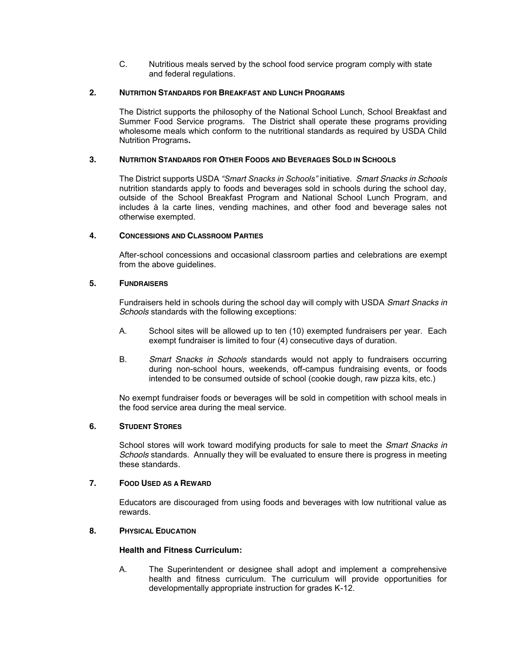C. Nutritious meals served by the school food service program comply with state and federal regulations.

## **2. NUTRITION STANDARDS FOR BREAKFAST AND LUNCH PROGRAMS**

The District supports the philosophy of the National School Lunch, School Breakfast and Summer Food Service programs. The District shall operate these programs providing wholesome meals which conform to the nutritional standards as required by USDA Child Nutrition Programs**.** 

## **3. NUTRITION STANDARDS FOR OTHER FOODS AND BEVERAGES SOLD IN SCHOOLS**

The District supports USDA *"Smart Snacks in Schools"* initiative. *Smart Snacks in Schools* nutrition standards apply to foods and beverages sold in schools during the school day, outside of the School Breakfast Program and National School Lunch Program, and includes à la carte lines, vending machines, and other food and beverage sales not otherwise exempted.

#### **4. CONCESSIONS AND CLASSROOM PARTIES**

After-school concessions and occasional classroom parties and celebrations are exempt from the above guidelines.

# **5. FUNDRAISERS**

Fundraisers held in schools during the school day will comply with USDA *Smart Snacks in Schools* standards with the following exceptions:

- A. School sites will be allowed up to ten (10) exempted fundraisers per year. Each exempt fundraiser is limited to four (4) consecutive days of duration.
- B. *Smart Snacks in Schools* standards would not apply to fundraisers occurring during non-school hours, weekends, off-campus fundraising events, or foods intended to be consumed outside of school (cookie dough, raw pizza kits, etc.)

No exempt fundraiser foods or beverages will be sold in competition with school meals in the food service area during the meal service.

#### **6. STUDENT STORES**

School stores will work toward modifying products for sale to meet the *Smart Snacks in Schools* standards. Annually they will be evaluated to ensure there is progress in meeting these standards.

#### **7. FOOD USED AS A REWARD**

Educators are discouraged from using foods and beverages with low nutritional value as rewards.

# **8. PHYSICAL EDUCATION**

#### **Health and Fitness Curriculum:**

A. The Superintendent or designee shall adopt and implement a comprehensive health and fitness curriculum. The curriculum will provide opportunities for developmentally appropriate instruction for grades K-12.